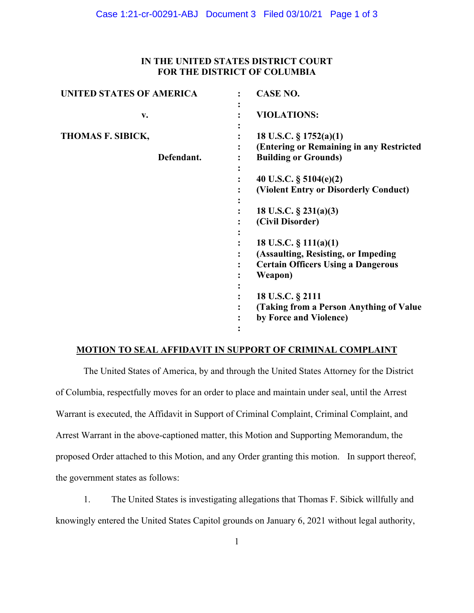## **IN THE UNITED STATES DISTRICT COURT FOR THE DISTRICT OF COLUMBIA**

| <b>UNITED STATES OF AMERICA</b> | <b>CASE NO.</b>                                                                                                         |
|---------------------------------|-------------------------------------------------------------------------------------------------------------------------|
| v.                              | <b>VIOLATIONS:</b>                                                                                                      |
| THOMAS F. SIBICK,<br>Defendant. | 18 U.S.C. $\S 1752(a)(1)$<br>(Entering or Remaining in any Restricted<br><b>Building or Grounds)</b>                    |
|                                 | 40 U.S.C. $\S$ 5104(e)(2)<br>(Violent Entry or Disorderly Conduct)                                                      |
|                                 | 18 U.S.C. $\S$ 231(a)(3)<br>(Civil Disorder)                                                                            |
|                                 | 18 U.S.C. $\S$ 111(a)(1)<br>(Assaulting, Resisting, or Impeding<br><b>Certain Officers Using a Dangerous</b><br>Weapon) |
|                                 | 18 U.S.C. § 2111<br>(Taking from a Person Anything of Value)<br>by Force and Violence)                                  |

# **MOTION TO SEAL AFFIDAVIT IN SUPPORT OF CRIMINAL COMPLAINT**

The United States of America, by and through the United States Attorney for the District of Columbia, respectfully moves for an order to place and maintain under seal, until the Arrest Warrant is executed, the Affidavit in Support of Criminal Complaint, Criminal Complaint, and Arrest Warrant in the above-captioned matter, this Motion and Supporting Memorandum, the proposed Order attached to this Motion, and any Order granting this motion. In support thereof, the government states as follows:

1. The United States is investigating allegations that Thomas F. Sibick willfully and knowingly entered the United States Capitol grounds on January 6, 2021 without legal authority,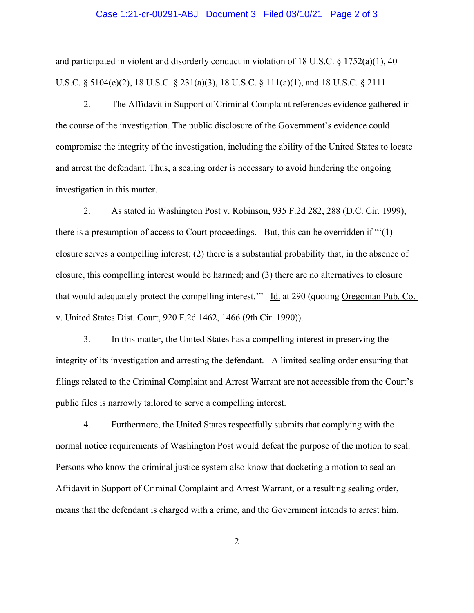#### Case 1:21-cr-00291-ABJ Document 3 Filed 03/10/21 Page 2 of 3

and participated in violent and disorderly conduct in violation of 18 U.S.C.  $\S$  1752(a)(1), 40 U.S.C. § 5104(e)(2), 18 U.S.C. § 231(a)(3), 18 U.S.C. § 111(a)(1), and 18 U.S.C. § 2111.

2. The Affidavit in Support of Criminal Complaint references evidence gathered in the course of the investigation. The public disclosure of the Government's evidence could compromise the integrity of the investigation, including the ability of the United States to locate and arrest the defendant. Thus, a sealing order is necessary to avoid hindering the ongoing investigation in this matter.

 2. As stated in Washington Post v. Robinson, 935 F.2d 282, 288 (D.C. Cir. 1999), there is a presumption of access to Court proceedings. But, this can be overridden if "'(1) closure serves a compelling interest; (2) there is a substantial probability that, in the absence of closure, this compelling interest would be harmed; and (3) there are no alternatives to closure that would adequately protect the compelling interest." Id. at 290 (quoting Oregonian Pub. Co. v. United States Dist. Court, 920 F.2d 1462, 1466 (9th Cir. 1990)).

 3. In this matter, the United States has a compelling interest in preserving the integrity of its investigation and arresting the defendant. A limited sealing order ensuring that filings related to the Criminal Complaint and Arrest Warrant are not accessible from the Court's public files is narrowly tailored to serve a compelling interest.

 4. Furthermore, the United States respectfully submits that complying with the normal notice requirements of Washington Post would defeat the purpose of the motion to seal. Persons who know the criminal justice system also know that docketing a motion to seal an Affidavit in Support of Criminal Complaint and Arrest Warrant, or a resulting sealing order, means that the defendant is charged with a crime, and the Government intends to arrest him.

2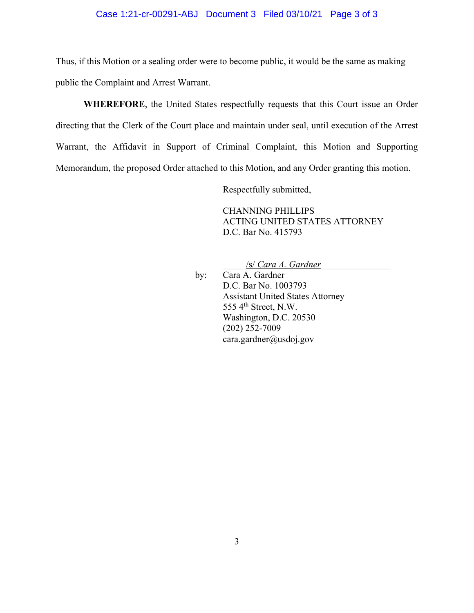### Case 1:21-cr-00291-ABJ Document 3 Filed 03/10/21 Page 3 of 3

Thus, if this Motion or a sealing order were to become public, it would be the same as making public the Complaint and Arrest Warrant.

**WHEREFORE**, the United States respectfully requests that this Court issue an Order directing that the Clerk of the Court place and maintain under seal, until execution of the Arrest Warrant, the Affidavit in Support of Criminal Complaint, this Motion and Supporting Memorandum, the proposed Order attached to this Motion, and any Order granting this motion.

Respectfully submitted,

CHANNING PHILLIPS ACTING UNITED STATES ATTORNEY D.C. Bar No. 415793

\_\_\_\_\_/s/ *Cara A. Gardner*\_\_\_\_\_\_\_\_\_\_\_\_\_\_\_

 by: Cara A. Gardner D.C. Bar No. 1003793 Assistant United States Attorney 555  $4<sup>th</sup>$  Street, N.W. Washington, D.C. 20530 (202) 252-7009 cara.gardner@usdoj.gov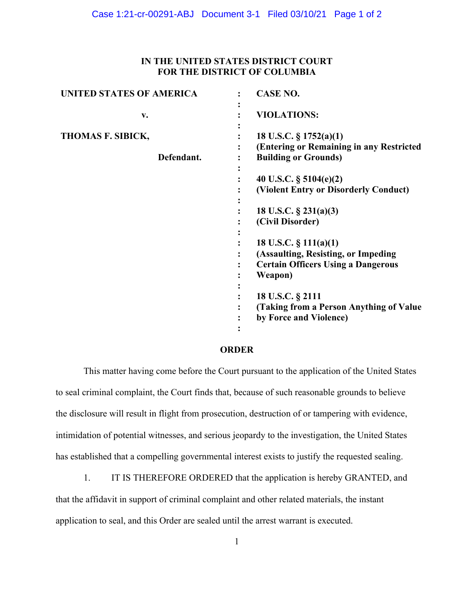## **IN THE UNITED STATES DISTRICT COURT FOR THE DISTRICT OF COLUMBIA**

| <b>UNITED STATES OF AMERICA</b> | <b>CASE NO.</b>                                                                                                         |
|---------------------------------|-------------------------------------------------------------------------------------------------------------------------|
| v.                              | <b>VIOLATIONS:</b>                                                                                                      |
| THOMAS F. SIBICK,<br>Defendant. | 18 U.S.C. § 1752(a)(1)<br>(Entering or Remaining in any Restricted<br><b>Building or Grounds)</b>                       |
|                                 | 40 U.S.C. § 5104(e)(2)<br>(Violent Entry or Disorderly Conduct)                                                         |
|                                 | 18 U.S.C. $\S$ 231(a)(3)<br>(Civil Disorder)                                                                            |
|                                 | 18 U.S.C. $\S$ 111(a)(1)<br>(Assaulting, Resisting, or Impeding<br><b>Certain Officers Using a Dangerous</b><br>Weapon) |
|                                 | 18 U.S.C. § 2111<br>(Taking from a Person Anything of Value)<br>by Force and Violence)                                  |

#### **ORDER**

This matter having come before the Court pursuant to the application of the United States to seal criminal complaint, the Court finds that, because of such reasonable grounds to believe the disclosure will result in flight from prosecution, destruction of or tampering with evidence, intimidation of potential witnesses, and serious jeopardy to the investigation, the United States has established that a compelling governmental interest exists to justify the requested sealing.

1. IT IS THEREFORE ORDERED that the application is hereby GRANTED, and that the affidavit in support of criminal complaint and other related materials, the instant application to seal, and this Order are sealed until the arrest warrant is executed.